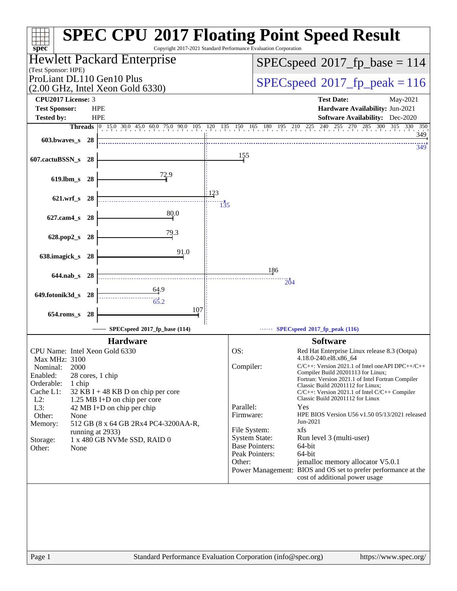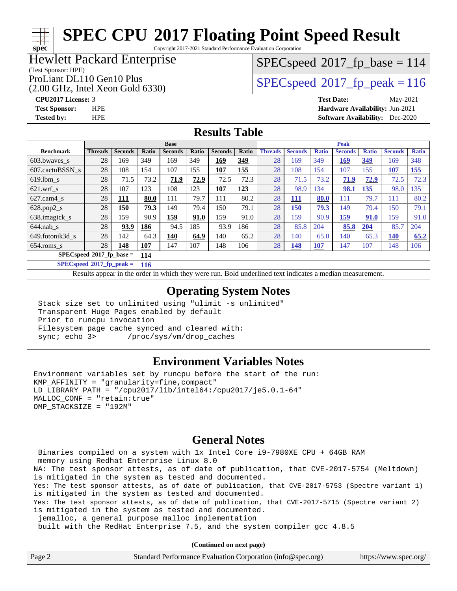Copyright 2017-2021 Standard Performance Evaluation Corporation

## Hewlett Packard Enterprise

(Test Sponsor: HPE)

**[spec](http://www.spec.org/)**

(2.00 GHz, Intel Xeon Gold 6330)

 $SPEC speed^{\circ}2017\_fp\_base = 114$ 

ProLiant DL110 Gen10 Plus  $SPEC speed@2017$  fp\_peak = 116

**[CPU2017 License:](http://www.spec.org/auto/cpu2017/Docs/result-fields.html#CPU2017License)** 3 **[Test Date:](http://www.spec.org/auto/cpu2017/Docs/result-fields.html#TestDate)** May-2021 **[Test Sponsor:](http://www.spec.org/auto/cpu2017/Docs/result-fields.html#TestSponsor)** HPE **[Hardware Availability:](http://www.spec.org/auto/cpu2017/Docs/result-fields.html#HardwareAvailability)** Jun-2021 **[Tested by:](http://www.spec.org/auto/cpu2017/Docs/result-fields.html#Testedby)** HPE **[Software Availability:](http://www.spec.org/auto/cpu2017/Docs/result-fields.html#SoftwareAvailability)** Dec-2020

## **[Results Table](http://www.spec.org/auto/cpu2017/Docs/result-fields.html#ResultsTable)**

|                                    | <b>Base</b>    |                |       |                | <b>Peak</b> |                |            |                |                |              |                |              |                |              |
|------------------------------------|----------------|----------------|-------|----------------|-------------|----------------|------------|----------------|----------------|--------------|----------------|--------------|----------------|--------------|
| <b>Benchmark</b>                   | <b>Threads</b> | <b>Seconds</b> | Ratio | <b>Seconds</b> | Ratio       | <b>Seconds</b> | Ratio      | <b>Threads</b> | <b>Seconds</b> | <b>Ratio</b> | <b>Seconds</b> | <b>Ratio</b> | <b>Seconds</b> | <b>Ratio</b> |
| 603.bwayes_s                       | 28             | 169            | 349   | 169            | 349         | <u>169</u>     | <u>349</u> | 28             | 169            | 349          | 169            | 349          | 169            | 348          |
| 607.cactuBSSN s                    | 28             | 108            | 154   | 107            | 155         | 107            | 155        | 28             | 108            | 154          | 107            | 155          | <b>107</b>     | 155          |
| $619.1$ bm s                       | 28             | 71.5           | 73.2  | 71.9           | 72.9        | 72.5           | 72.3       | 28             | 71.5           | 73.2         | 71.9           | 72.9         | 72.5           | 72.3         |
| $621$ .wrf s                       | 28             | 107            | 123   | 108            | 123         | 107            | <u>123</u> | 28             | 98.9           | <b>34</b>    | 98.1           | <b>135</b>   | 98.0           | 135          |
| $627$ .cam $4 \text{ s}$           | 28             | <u> 111</u>    | 80.0  | 111            | 79.7        | 111            | 80.2       | 28             | <u>111</u>     | 80.0         | 111            | 79.7         | 111            | 80.2         |
| $628.pop2_s$                       | 28             | 150            | 79.3  | 149            | 79.4        | 150            | 79.1       | 28             | 150            | 79.3         | 149            | 79.4         | 150            | 79.1         |
| 638.imagick_s                      | 28             | 159            | 90.9  | 159            | 91.0        | 159            | 91.0       | 28             | 159            | 90.9         | 159            | 91.0         | 159            | 91.0         |
| $644$ .nab s                       | 28             | 93.9           | 186   | 94.5           | 185         | 93.9           | 186        | 28             | 85.8           | 204          | 85.8           | 204          | 85.7           | 204          |
| 649.fotonik3d s                    | 28             | 142            | 64.3  | 140            | 64.9        | 140            | 65.2       | 28             | 140            | 65.0         | 140            | 65.3         | 140            | 65.2         |
| $654$ .roms s                      | 28             | 148            | 107   | 147            | 107         | 148            | 106        | 28             | <b>148</b>     | <b>107</b>   | 147            | 107          | 148            | 106          |
| $SPECspeed*2017_fp\_base =$<br>114 |                |                |       |                |             |                |            |                |                |              |                |              |                |              |

**[SPECspeed](http://www.spec.org/auto/cpu2017/Docs/result-fields.html#SPECspeed2017fppeak)[2017\\_fp\\_peak =](http://www.spec.org/auto/cpu2017/Docs/result-fields.html#SPECspeed2017fppeak) 116**

Results appear in the [order in which they were run.](http://www.spec.org/auto/cpu2017/Docs/result-fields.html#RunOrder) Bold underlined text [indicates a median measurement](http://www.spec.org/auto/cpu2017/Docs/result-fields.html#Median).

## **[Operating System Notes](http://www.spec.org/auto/cpu2017/Docs/result-fields.html#OperatingSystemNotes)**

 Stack size set to unlimited using "ulimit -s unlimited" Transparent Huge Pages enabled by default Prior to runcpu invocation Filesystem page cache synced and cleared with: sync; echo 3> /proc/sys/vm/drop\_caches

## **[Environment Variables Notes](http://www.spec.org/auto/cpu2017/Docs/result-fields.html#EnvironmentVariablesNotes)**

Environment variables set by runcpu before the start of the run: KMP\_AFFINITY = "granularity=fine,compact" LD\_LIBRARY\_PATH = "/cpu2017/lib/intel64:/cpu2017/je5.0.1-64" MALLOC\_CONF = "retain:true" OMP\_STACKSIZE = "192M"

## **[General Notes](http://www.spec.org/auto/cpu2017/Docs/result-fields.html#GeneralNotes)**

 Binaries compiled on a system with 1x Intel Core i9-7980XE CPU + 64GB RAM memory using Redhat Enterprise Linux 8.0 NA: The test sponsor attests, as of date of publication, that CVE-2017-5754 (Meltdown) is mitigated in the system as tested and documented. Yes: The test sponsor attests, as of date of publication, that CVE-2017-5753 (Spectre variant 1) is mitigated in the system as tested and documented. Yes: The test sponsor attests, as of date of publication, that CVE-2017-5715 (Spectre variant 2) is mitigated in the system as tested and documented. jemalloc, a general purpose malloc implementation built with the RedHat Enterprise 7.5, and the system compiler gcc 4.8.5

**(Continued on next page)**

| Page 2<br>Standard Performance Evaluation Corporation (info@spec.org)<br>https://www.spec.org/ |
|------------------------------------------------------------------------------------------------|
|------------------------------------------------------------------------------------------------|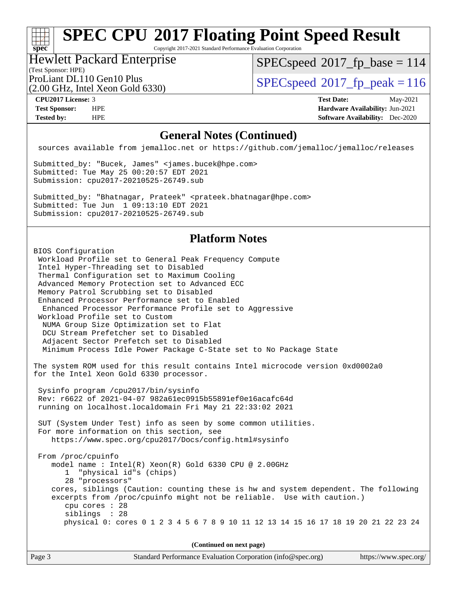Copyright 2017-2021 Standard Performance Evaluation Corporation

### (Test Sponsor: HPE) Hewlett Packard Enterprise

[SPECspeed](http://www.spec.org/auto/cpu2017/Docs/result-fields.html#SPECspeed2017fpbase)<sup>®</sup>2017 fp base = 114

(2.00 GHz, Intel Xeon Gold 6330)

ProLiant DL110 Gen10 Plus  $SPEC speed@2017$  fp\_peak = 116

**[spec](http://www.spec.org/)**

**[CPU2017 License:](http://www.spec.org/auto/cpu2017/Docs/result-fields.html#CPU2017License)** 3 **[Test Date:](http://www.spec.org/auto/cpu2017/Docs/result-fields.html#TestDate)** May-2021 **[Test Sponsor:](http://www.spec.org/auto/cpu2017/Docs/result-fields.html#TestSponsor)** HPE **[Hardware Availability:](http://www.spec.org/auto/cpu2017/Docs/result-fields.html#HardwareAvailability)** Jun-2021 **[Tested by:](http://www.spec.org/auto/cpu2017/Docs/result-fields.html#Testedby)** HPE **[Software Availability:](http://www.spec.org/auto/cpu2017/Docs/result-fields.html#SoftwareAvailability)** Dec-2020

## **[General Notes \(Continued\)](http://www.spec.org/auto/cpu2017/Docs/result-fields.html#GeneralNotes)**

sources available from jemalloc.net or <https://github.com/jemalloc/jemalloc/releases>

Submitted\_by: "Bucek, James" <james.bucek@hpe.com> Submitted: Tue May 25 00:20:57 EDT 2021 Submission: cpu2017-20210525-26749.sub

Submitted\_by: "Bhatnagar, Prateek" <prateek.bhatnagar@hpe.com> Submitted: Tue Jun 1 09:13:10 EDT 2021 Submission: cpu2017-20210525-26749.sub

## **[Platform Notes](http://www.spec.org/auto/cpu2017/Docs/result-fields.html#PlatformNotes)**

BIOS Configuration Workload Profile set to General Peak Frequency Compute Intel Hyper-Threading set to Disabled Thermal Configuration set to Maximum Cooling Advanced Memory Protection set to Advanced ECC Memory Patrol Scrubbing set to Disabled Enhanced Processor Performance set to Enabled Enhanced Processor Performance Profile set to Aggressive Workload Profile set to Custom NUMA Group Size Optimization set to Flat DCU Stream Prefetcher set to Disabled Adjacent Sector Prefetch set to Disabled Minimum Process Idle Power Package C-State set to No Package State The system ROM used for this result contains Intel microcode version 0xd0002a0 for the Intel Xeon Gold 6330 processor. Sysinfo program /cpu2017/bin/sysinfo Rev: r6622 of 2021-04-07 982a61ec0915b55891ef0e16acafc64d running on localhost.localdomain Fri May 21 22:33:02 2021 SUT (System Under Test) info as seen by some common utilities. For more information on this section, see <https://www.spec.org/cpu2017/Docs/config.html#sysinfo> From /proc/cpuinfo model name : Intel(R) Xeon(R) Gold 6330 CPU @ 2.00GHz 1 "physical id"s (chips) 28 "processors" cores, siblings (Caution: counting these is hw and system dependent. The following excerpts from /proc/cpuinfo might not be reliable. Use with caution.) cpu cores : 28 siblings : 28 physical 0: cores 0 1 2 3 4 5 6 7 8 9 10 11 12 13 14 15 16 17 18 19 20 21 22 23 24

**(Continued on next page)**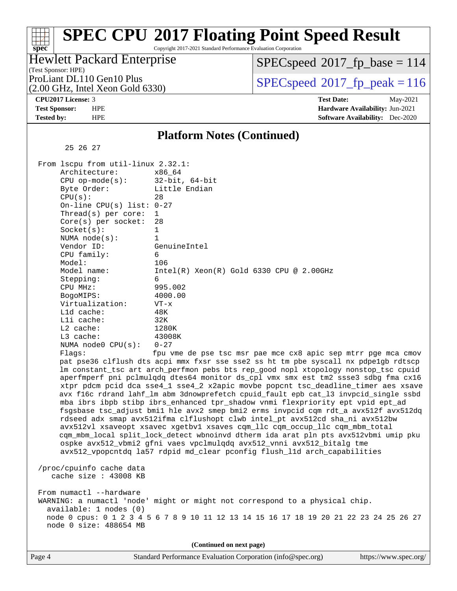### **[spec](http://www.spec.org/) [SPEC CPU](http://www.spec.org/auto/cpu2017/Docs/result-fields.html#SPECCPU2017FloatingPointSpeedResult)[2017 Floating Point Speed Result](http://www.spec.org/auto/cpu2017/Docs/result-fields.html#SPECCPU2017FloatingPointSpeedResult)** Copyright 2017-2021 Standard Performance Evaluation Corporation (Test Sponsor: HPE) Hewlett Packard Enterprise (2.00 GHz, Intel Xeon Gold 6330) ProLiant DL110 Gen10 Plus  $SPEC speed@2017$  fp\_peak = 116 [SPECspeed](http://www.spec.org/auto/cpu2017/Docs/result-fields.html#SPECspeed2017fpbase)<sup>®</sup>2017 fp base = 114 **[CPU2017 License:](http://www.spec.org/auto/cpu2017/Docs/result-fields.html#CPU2017License)** 3 **[Test Date:](http://www.spec.org/auto/cpu2017/Docs/result-fields.html#TestDate)** May-2021 **[Test Sponsor:](http://www.spec.org/auto/cpu2017/Docs/result-fields.html#TestSponsor)** HPE **[Hardware Availability:](http://www.spec.org/auto/cpu2017/Docs/result-fields.html#HardwareAvailability)** Jun-2021 **[Tested by:](http://www.spec.org/auto/cpu2017/Docs/result-fields.html#Testedby)** HPE **[Software Availability:](http://www.spec.org/auto/cpu2017/Docs/result-fields.html#SoftwareAvailability)** Dec-2020 **[Platform Notes \(Continued\)](http://www.spec.org/auto/cpu2017/Docs/result-fields.html#PlatformNotes)** 25 26 27 From lscpu from util-linux 2.32.1: Architecture: x86\_64<br>CPU op-mode(s): 32-bit, 64-bit CPU op-mode $(s):$ Byte Order: Little Endian  $CPU(s):$  28 On-line CPU(s) list: 0-27 Thread(s) per core: 1 Core(s) per socket: 28 Socket(s): 1 NUMA node(s): 1 Vendor ID: GenuineIntel CPU family: 6 Model: 106 Model name: Intel(R) Xeon(R) Gold 6330 CPU @ 2.00GHz Stepping: CPU MHz: 995.002 BogoMIPS: 4000.00 Virtualization: VT-x L1d cache: 48K L1i cache: 32K L2 cache: 1280K L3 cache: 43008K NUMA node0 CPU(s): 0-27 Flags: fpu vme de pse tsc msr pae mce cx8 apic sep mtrr pge mca cmov pat pse36 clflush dts acpi mmx fxsr sse sse2 ss ht tm pbe syscall nx pdpe1gb rdtscp lm constant\_tsc art arch\_perfmon pebs bts rep\_good nopl xtopology nonstop\_tsc cpuid aperfmperf pni pclmulqdq dtes64 monitor ds\_cpl vmx smx est tm2 ssse3 sdbg fma cx16 xtpr pdcm pcid dca sse4\_1 sse4\_2 x2apic movbe popcnt tsc\_deadline\_timer aes xsave avx f16c rdrand lahf\_lm abm 3dnowprefetch cpuid\_fault epb cat\_l3 invpcid\_single ssbd mba ibrs ibpb stibp ibrs\_enhanced tpr\_shadow vnmi flexpriority ept vpid ept\_ad fsgsbase tsc\_adjust bmi1 hle avx2 smep bmi2 erms invpcid cqm rdt\_a avx512f avx512dq rdseed adx smap avx512ifma clflushopt clwb intel\_pt avx512cd sha\_ni avx512bw avx512vl xsaveopt xsavec xgetbv1 xsaves cqm\_llc cqm\_occup\_llc cqm\_mbm\_total cqm\_mbm\_local split\_lock\_detect wbnoinvd dtherm ida arat pln pts avx512vbmi umip pku ospke avx512\_vbmi2 gfni vaes vpclmulqdq avx512\_vnni avx512\_bitalg tme avx512\_vpopcntdq la57 rdpid md\_clear pconfig flush\_l1d arch\_capabilities /proc/cpuinfo cache data cache size : 43008 KB From numactl --hardware WARNING: a numactl 'node' might or might not correspond to a physical chip. available: 1 nodes (0) node 0 cpus: 0 1 2 3 4 5 6 7 8 9 10 11 12 13 14 15 16 17 18 19 20 21 22 23 24 25 26 27 node 0 size: 488654 MB **(Continued on next page)**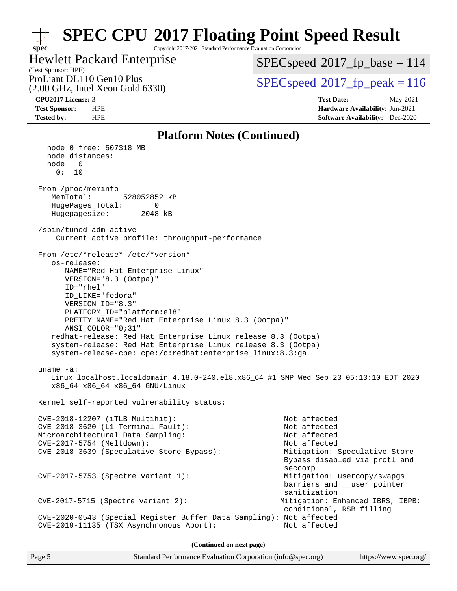### **[spec](http://www.spec.org/) [SPEC CPU](http://www.spec.org/auto/cpu2017/Docs/result-fields.html#SPECCPU2017FloatingPointSpeedResult)[2017 Floating Point Speed Result](http://www.spec.org/auto/cpu2017/Docs/result-fields.html#SPECCPU2017FloatingPointSpeedResult)** Copyright 2017-2021 Standard Performance Evaluation Corporation Hewlett Packard Enterprise

(Test Sponsor: HPE) (2.00 GHz, Intel Xeon Gold 6330) ProLiant DL110 Gen10 Plus  $SPEC speed@2017$  fp\_peak = 116

[SPECspeed](http://www.spec.org/auto/cpu2017/Docs/result-fields.html#SPECspeed2017fpbase)<sup>®</sup>2017 fp base = 114

**[CPU2017 License:](http://www.spec.org/auto/cpu2017/Docs/result-fields.html#CPU2017License)** 3 **[Test Date:](http://www.spec.org/auto/cpu2017/Docs/result-fields.html#TestDate)** May-2021 **[Test Sponsor:](http://www.spec.org/auto/cpu2017/Docs/result-fields.html#TestSponsor)** HPE **[Hardware Availability:](http://www.spec.org/auto/cpu2017/Docs/result-fields.html#HardwareAvailability)** Jun-2021 **[Tested by:](http://www.spec.org/auto/cpu2017/Docs/result-fields.html#Testedby)** HPE **[Software Availability:](http://www.spec.org/auto/cpu2017/Docs/result-fields.html#SoftwareAvailability)** Dec-2020

## **[Platform Notes \(Continued\)](http://www.spec.org/auto/cpu2017/Docs/result-fields.html#PlatformNotes)**

 node 0 free: 507318 MB node distances: node 0  $0: 10$  From /proc/meminfo MemTotal: 528052852 kB HugePages\_Total: 0 Hugepagesize: 2048 kB /sbin/tuned-adm active Current active profile: throughput-performance From /etc/\*release\* /etc/\*version\* os-release: NAME="Red Hat Enterprise Linux" VERSION="8.3 (Ootpa)" ID="rhel" ID\_LIKE="fedora" VERSION\_ID="8.3" PLATFORM\_ID="platform:el8" PRETTY\_NAME="Red Hat Enterprise Linux 8.3 (Ootpa)" ANSI\_COLOR="0;31" redhat-release: Red Hat Enterprise Linux release 8.3 (Ootpa) system-release: Red Hat Enterprise Linux release 8.3 (Ootpa) system-release-cpe: cpe:/o:redhat:enterprise\_linux:8.3:ga uname -a: Linux localhost.localdomain 4.18.0-240.el8.x86\_64 #1 SMP Wed Sep 23 05:13:10 EDT 2020 x86\_64 x86\_64 x86\_64 GNU/Linux Kernel self-reported vulnerability status: CVE-2018-12207 (iTLB Multihit): Not affected CVE-2018-3620 (L1 Terminal Fault): Not affected Microarchitectural Data Sampling: Not affected CVE-2017-5754 (Meltdown): Not affected CVE-2018-3639 (Speculative Store Bypass): Mitigation: Speculative Store Bypass disabled via prctl and seccomplex and the contract of the contract of the contract of the second seconds of the seconds of the seconds of the seconds of the seconds of the seconds of the seconds of the seconds of the seconds of the seconds of th CVE-2017-5753 (Spectre variant 1): Mitigation: usercopy/swapgs barriers and \_\_user pointer sanitization CVE-2017-5715 (Spectre variant 2): Mitigation: Enhanced IBRS, IBPB: conditional, RSB filling CVE-2020-0543 (Special Register Buffer Data Sampling): Not affected CVE-2019-11135 (TSX Asynchronous Abort): Not affected **(Continued on next page)**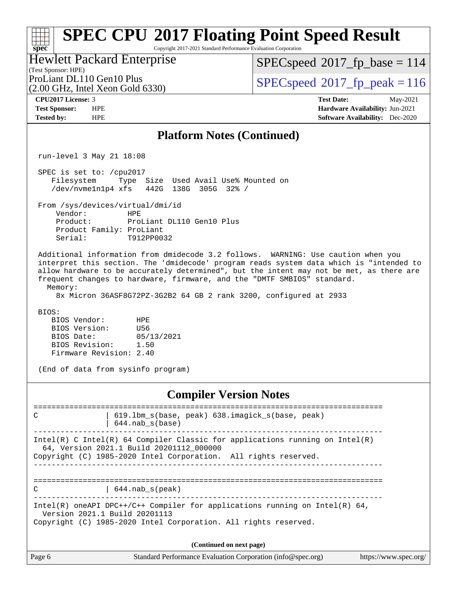Copyright 2017-2021 Standard Performance Evaluation Corporation

(Test Sponsor: HPE) Hewlett Packard Enterprise

[SPECspeed](http://www.spec.org/auto/cpu2017/Docs/result-fields.html#SPECspeed2017fpbase)<sup>®</sup>2017 fp base = 114

(2.00 GHz, Intel Xeon Gold 6330)

ProLiant DL110 Gen10 Plus  $SPEC speed@2017$  fp\_peak = 116

**[CPU2017 License:](http://www.spec.org/auto/cpu2017/Docs/result-fields.html#CPU2017License)** 3 **[Test Date:](http://www.spec.org/auto/cpu2017/Docs/result-fields.html#TestDate)** May-2021 **[Test Sponsor:](http://www.spec.org/auto/cpu2017/Docs/result-fields.html#TestSponsor)** HPE **[Hardware Availability:](http://www.spec.org/auto/cpu2017/Docs/result-fields.html#HardwareAvailability)** Jun-2021 **[Tested by:](http://www.spec.org/auto/cpu2017/Docs/result-fields.html#Testedby)** HPE **[Software Availability:](http://www.spec.org/auto/cpu2017/Docs/result-fields.html#SoftwareAvailability)** Dec-2020

### **[Platform Notes \(Continued\)](http://www.spec.org/auto/cpu2017/Docs/result-fields.html#PlatformNotes)**

run-level 3 May 21 18:08

 SPEC is set to: /cpu2017 Filesystem Type Size Used Avail Use% Mounted on /dev/nvme1n1p4 xfs 442G 138G 305G 32% /

From /sys/devices/virtual/dmi/id

 Vendor: HPE Product: ProLiant DL110 Gen10 Plus Product Family: ProLiant Serial: T912PP0032

 Additional information from dmidecode 3.2 follows. WARNING: Use caution when you interpret this section. The 'dmidecode' program reads system data which is "intended to allow hardware to be accurately determined", but the intent may not be met, as there are frequent changes to hardware, firmware, and the "DMTF SMBIOS" standard. Memory:

8x Micron 36ASF8G72PZ-3G2B2 64 GB 2 rank 3200, configured at 2933

BIOS:

 BIOS Vendor: HPE BIOS Version: U56 BIOS Date: 05/13/2021 BIOS Revision: 1.50 Firmware Revision: 2.40

(End of data from sysinfo program)

### **[Compiler Version Notes](http://www.spec.org/auto/cpu2017/Docs/result-fields.html#CompilerVersionNotes)**

| 619.1bm_s(base, peak) 638.imagick_s(base, peak)<br>$\mathcal{C}$<br>$644.nab_s(base)$<br>Intel(R) C Intel(R) 64 Compiler Classic for applications running on Intel(R)<br>64, Version 2021.1 Build 20201112_000000<br>Copyright (C) 1985-2020 Intel Corporation. All rights reserved.<br>$644$ .nab s(peak)<br>C<br>Intel(R) oneAPI DPC++/C++ Compiler for applications running on Intel(R) $64$ ,<br>Version 2021.1 Build 20201113<br>Copyright (C) 1985-2020 Intel Corporation. All rights reserved.<br>(Continued on next page) |
|-----------------------------------------------------------------------------------------------------------------------------------------------------------------------------------------------------------------------------------------------------------------------------------------------------------------------------------------------------------------------------------------------------------------------------------------------------------------------------------------------------------------------------------|
|                                                                                                                                                                                                                                                                                                                                                                                                                                                                                                                                   |
|                                                                                                                                                                                                                                                                                                                                                                                                                                                                                                                                   |
|                                                                                                                                                                                                                                                                                                                                                                                                                                                                                                                                   |
|                                                                                                                                                                                                                                                                                                                                                                                                                                                                                                                                   |
|                                                                                                                                                                                                                                                                                                                                                                                                                                                                                                                                   |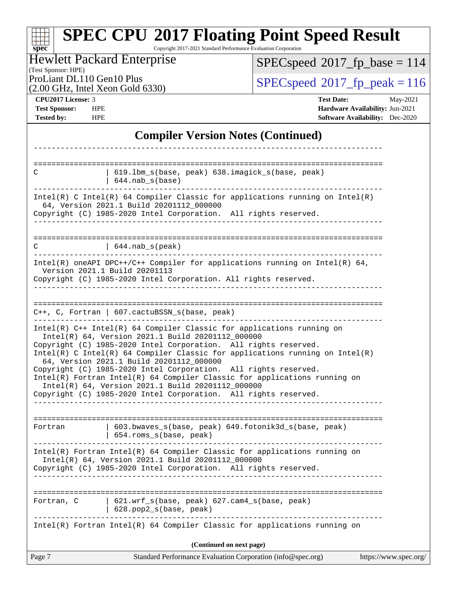| $spec^*$                                                        |                                                                                               | <b>SPEC CPU®2017 Floating Point Speed Result</b><br>Copyright 2017-2021 Standard Performance Evaluation Corporation                                                                                                        |
|-----------------------------------------------------------------|-----------------------------------------------------------------------------------------------|----------------------------------------------------------------------------------------------------------------------------------------------------------------------------------------------------------------------------|
| (Test Sponsor: HPE)                                             | <b>Hewlett Packard Enterprise</b>                                                             | $SPEC speed^{\circ}2017$ _fp_base = 114                                                                                                                                                                                    |
|                                                                 | ProLiant DL110 Gen10 Plus<br>$(2.00 \text{ GHz}, \text{Intel Xeon Gold } 6330)$               | $SPEC speed^{\circ}2017$ _fp_peak = 116                                                                                                                                                                                    |
| CPU2017 License: 3<br><b>Test Sponsor:</b><br><b>Tested by:</b> | <b>HPE</b><br><b>HPE</b>                                                                      | <b>Test Date:</b><br>May-2021<br>Hardware Availability: Jun-2021<br><b>Software Availability:</b> Dec-2020                                                                                                                 |
|                                                                 |                                                                                               | <b>Compiler Version Notes (Continued)</b>                                                                                                                                                                                  |
| C                                                               | -----------------------------                                                                 | 619.1bm_s(base, peak) 638.imagick_s(base, peak)                                                                                                                                                                            |
|                                                                 | $644.nab_s(base)$                                                                             |                                                                                                                                                                                                                            |
|                                                                 | 64, Version 2021.1 Build 20201112_000000                                                      | Intel(R) C Intel(R) 64 Compiler Classic for applications running on Intel(R)<br>Copyright (C) 1985-2020 Intel Corporation. All rights reserved.                                                                            |
| C                                                               | 644.nab_s(peak)                                                                               |                                                                                                                                                                                                                            |
|                                                                 | Version 2021.1 Build 20201113                                                                 | Intel(R) oneAPI DPC++/C++ Compiler for applications running on Intel(R) $64$ ,                                                                                                                                             |
|                                                                 |                                                                                               | Copyright (C) 1985-2020 Intel Corporation. All rights reserved.                                                                                                                                                            |
|                                                                 | $C++$ , C, Fortran   607.cactuBSSN_s(base, peak)                                              |                                                                                                                                                                                                                            |
|                                                                 | Intel(R) 64, Version 2021.1 Build 20201112_000000                                             | Intel(R) C++ Intel(R) 64 Compiler Classic for applications running on<br>Copyright (C) 1985-2020 Intel Corporation. All rights reserved.<br>Intel(R) C Intel(R) 64 Compiler Classic for applications running on $Intel(R)$ |
|                                                                 | 64, Version 2021.1 Build 20201112_000000<br>Intel(R) 64, Version 2021.1 Build 20201112_000000 | Copyright (C) 1985-2020 Intel Corporation. All rights reserved.<br>Intel(R) Fortran Intel(R) 64 Compiler Classic for applications running on<br>Copyright (C) 1985-2020 Intel Corporation. All rights reserved.            |
|                                                                 |                                                                                               | _____________________________                                                                                                                                                                                              |
| Fortran                                                         | 654.roms_s(base, peak)                                                                        | 603.bwaves_s(base, peak) 649.fotonik3d_s(base, peak)                                                                                                                                                                       |
|                                                                 | Intel(R) 64, Version 2021.1 Build 20201112_000000                                             | Intel(R) Fortran Intel(R) 64 Compiler Classic for applications running on<br>Copyright (C) 1985-2020 Intel Corporation. All rights reserved.                                                                               |
| Fortran, C                                                      | $  628.pop2_s(base, peak)$                                                                    | 621.wrf_s(base, peak) 627.cam4_s(base, peak)                                                                                                                                                                               |
|                                                                 |                                                                                               | ______________________________<br>Intel(R) Fortran Intel(R) 64 Compiler Classic for applications running on                                                                                                                |
|                                                                 |                                                                                               | (Continued on next page)                                                                                                                                                                                                   |
| Page 7                                                          |                                                                                               | Standard Performance Evaluation Corporation (info@spec.org)<br>https://www.spec.org/                                                                                                                                       |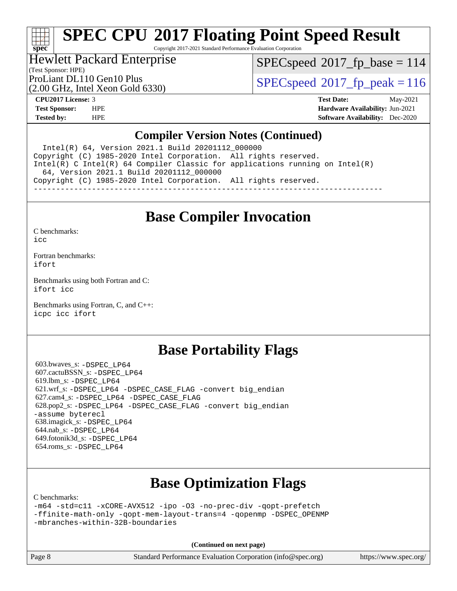Copyright 2017-2021 Standard Performance Evaluation Corporation

## Hewlett Packard Enterprise

[SPECspeed](http://www.spec.org/auto/cpu2017/Docs/result-fields.html#SPECspeed2017fpbase)<sup>®</sup>2017 fp base = 114

## (Test Sponsor: HPE)

(2.00 GHz, Intel Xeon Gold 6330)

ProLiant DL110 Gen10 Plus  $SPEC speed@2017$  fp\_peak = 116

**[spec](http://www.spec.org/)**

**[CPU2017 License:](http://www.spec.org/auto/cpu2017/Docs/result-fields.html#CPU2017License)** 3 **[Test Date:](http://www.spec.org/auto/cpu2017/Docs/result-fields.html#TestDate)** May-2021 **[Test Sponsor:](http://www.spec.org/auto/cpu2017/Docs/result-fields.html#TestSponsor)** HPE **[Hardware Availability:](http://www.spec.org/auto/cpu2017/Docs/result-fields.html#HardwareAvailability)** Jun-2021 **[Tested by:](http://www.spec.org/auto/cpu2017/Docs/result-fields.html#Testedby)** HPE **[Software Availability:](http://www.spec.org/auto/cpu2017/Docs/result-fields.html#SoftwareAvailability)** Dec-2020

## **[Compiler Version Notes \(Continued\)](http://www.spec.org/auto/cpu2017/Docs/result-fields.html#CompilerVersionNotes)**

 Intel(R) 64, Version 2021.1 Build 20201112\_000000 Copyright (C) 1985-2020 Intel Corporation. All rights reserved. Intel(R) C Intel(R) 64 Compiler Classic for applications running on Intel(R) 64, Version 2021.1 Build 20201112\_000000 Copyright (C) 1985-2020 Intel Corporation. All rights reserved. ------------------------------------------------------------------------------

## **[Base Compiler Invocation](http://www.spec.org/auto/cpu2017/Docs/result-fields.html#BaseCompilerInvocation)**

[C benchmarks](http://www.spec.org/auto/cpu2017/Docs/result-fields.html#Cbenchmarks):

[icc](http://www.spec.org/cpu2017/results/res2021q2/cpu2017-20210525-26749.flags.html#user_CCbase_intel_icc_66fc1ee009f7361af1fbd72ca7dcefbb700085f36577c54f309893dd4ec40d12360134090235512931783d35fd58c0460139e722d5067c5574d8eaf2b3e37e92)

[Fortran benchmarks](http://www.spec.org/auto/cpu2017/Docs/result-fields.html#Fortranbenchmarks): [ifort](http://www.spec.org/cpu2017/results/res2021q2/cpu2017-20210525-26749.flags.html#user_FCbase_intel_ifort_8111460550e3ca792625aed983ce982f94888b8b503583aa7ba2b8303487b4d8a21a13e7191a45c5fd58ff318f48f9492884d4413fa793fd88dd292cad7027ca)

[Benchmarks using both Fortran and C](http://www.spec.org/auto/cpu2017/Docs/result-fields.html#BenchmarksusingbothFortranandC): [ifort](http://www.spec.org/cpu2017/results/res2021q2/cpu2017-20210525-26749.flags.html#user_CC_FCbase_intel_ifort_8111460550e3ca792625aed983ce982f94888b8b503583aa7ba2b8303487b4d8a21a13e7191a45c5fd58ff318f48f9492884d4413fa793fd88dd292cad7027ca) [icc](http://www.spec.org/cpu2017/results/res2021q2/cpu2017-20210525-26749.flags.html#user_CC_FCbase_intel_icc_66fc1ee009f7361af1fbd72ca7dcefbb700085f36577c54f309893dd4ec40d12360134090235512931783d35fd58c0460139e722d5067c5574d8eaf2b3e37e92)

[Benchmarks using Fortran, C, and C++:](http://www.spec.org/auto/cpu2017/Docs/result-fields.html#BenchmarksusingFortranCandCXX) [icpc](http://www.spec.org/cpu2017/results/res2021q2/cpu2017-20210525-26749.flags.html#user_CC_CXX_FCbase_intel_icpc_c510b6838c7f56d33e37e94d029a35b4a7bccf4766a728ee175e80a419847e808290a9b78be685c44ab727ea267ec2f070ec5dc83b407c0218cded6866a35d07) [icc](http://www.spec.org/cpu2017/results/res2021q2/cpu2017-20210525-26749.flags.html#user_CC_CXX_FCbase_intel_icc_66fc1ee009f7361af1fbd72ca7dcefbb700085f36577c54f309893dd4ec40d12360134090235512931783d35fd58c0460139e722d5067c5574d8eaf2b3e37e92) [ifort](http://www.spec.org/cpu2017/results/res2021q2/cpu2017-20210525-26749.flags.html#user_CC_CXX_FCbase_intel_ifort_8111460550e3ca792625aed983ce982f94888b8b503583aa7ba2b8303487b4d8a21a13e7191a45c5fd58ff318f48f9492884d4413fa793fd88dd292cad7027ca)

## **[Base Portability Flags](http://www.spec.org/auto/cpu2017/Docs/result-fields.html#BasePortabilityFlags)**

 603.bwaves\_s: [-DSPEC\\_LP64](http://www.spec.org/cpu2017/results/res2021q2/cpu2017-20210525-26749.flags.html#suite_basePORTABILITY603_bwaves_s_DSPEC_LP64) 607.cactuBSSN\_s: [-DSPEC\\_LP64](http://www.spec.org/cpu2017/results/res2021q2/cpu2017-20210525-26749.flags.html#suite_basePORTABILITY607_cactuBSSN_s_DSPEC_LP64) 619.lbm\_s: [-DSPEC\\_LP64](http://www.spec.org/cpu2017/results/res2021q2/cpu2017-20210525-26749.flags.html#suite_basePORTABILITY619_lbm_s_DSPEC_LP64) 621.wrf\_s: [-DSPEC\\_LP64](http://www.spec.org/cpu2017/results/res2021q2/cpu2017-20210525-26749.flags.html#suite_basePORTABILITY621_wrf_s_DSPEC_LP64) [-DSPEC\\_CASE\\_FLAG](http://www.spec.org/cpu2017/results/res2021q2/cpu2017-20210525-26749.flags.html#b621.wrf_s_baseCPORTABILITY_DSPEC_CASE_FLAG) [-convert big\\_endian](http://www.spec.org/cpu2017/results/res2021q2/cpu2017-20210525-26749.flags.html#user_baseFPORTABILITY621_wrf_s_convert_big_endian_c3194028bc08c63ac5d04de18c48ce6d347e4e562e8892b8bdbdc0214820426deb8554edfa529a3fb25a586e65a3d812c835984020483e7e73212c4d31a38223) 627.cam4\_s: [-DSPEC\\_LP64](http://www.spec.org/cpu2017/results/res2021q2/cpu2017-20210525-26749.flags.html#suite_basePORTABILITY627_cam4_s_DSPEC_LP64) [-DSPEC\\_CASE\\_FLAG](http://www.spec.org/cpu2017/results/res2021q2/cpu2017-20210525-26749.flags.html#b627.cam4_s_baseCPORTABILITY_DSPEC_CASE_FLAG) 628.pop2\_s: [-DSPEC\\_LP64](http://www.spec.org/cpu2017/results/res2021q2/cpu2017-20210525-26749.flags.html#suite_basePORTABILITY628_pop2_s_DSPEC_LP64) [-DSPEC\\_CASE\\_FLAG](http://www.spec.org/cpu2017/results/res2021q2/cpu2017-20210525-26749.flags.html#b628.pop2_s_baseCPORTABILITY_DSPEC_CASE_FLAG) [-convert big\\_endian](http://www.spec.org/cpu2017/results/res2021q2/cpu2017-20210525-26749.flags.html#user_baseFPORTABILITY628_pop2_s_convert_big_endian_c3194028bc08c63ac5d04de18c48ce6d347e4e562e8892b8bdbdc0214820426deb8554edfa529a3fb25a586e65a3d812c835984020483e7e73212c4d31a38223) [-assume byterecl](http://www.spec.org/cpu2017/results/res2021q2/cpu2017-20210525-26749.flags.html#user_baseFPORTABILITY628_pop2_s_assume_byterecl_7e47d18b9513cf18525430bbf0f2177aa9bf368bc7a059c09b2c06a34b53bd3447c950d3f8d6c70e3faf3a05c8557d66a5798b567902e8849adc142926523472) 638.imagick\_s: [-DSPEC\\_LP64](http://www.spec.org/cpu2017/results/res2021q2/cpu2017-20210525-26749.flags.html#suite_basePORTABILITY638_imagick_s_DSPEC_LP64) 644.nab\_s: [-DSPEC\\_LP64](http://www.spec.org/cpu2017/results/res2021q2/cpu2017-20210525-26749.flags.html#suite_basePORTABILITY644_nab_s_DSPEC_LP64) 649.fotonik3d\_s: [-DSPEC\\_LP64](http://www.spec.org/cpu2017/results/res2021q2/cpu2017-20210525-26749.flags.html#suite_basePORTABILITY649_fotonik3d_s_DSPEC_LP64) 654.roms\_s: [-DSPEC\\_LP64](http://www.spec.org/cpu2017/results/res2021q2/cpu2017-20210525-26749.flags.html#suite_basePORTABILITY654_roms_s_DSPEC_LP64)

## **[Base Optimization Flags](http://www.spec.org/auto/cpu2017/Docs/result-fields.html#BaseOptimizationFlags)**

[C benchmarks](http://www.spec.org/auto/cpu2017/Docs/result-fields.html#Cbenchmarks):

```
-m64 -std=c11 -xCORE-AVX512 -ipo -O3 -no-prec-div -qopt-prefetch
-ffinite-math-only -qopt-mem-layout-trans=4 -qopenmp -DSPEC_OPENMP
-mbranches-within-32B-boundaries
```
**(Continued on next page)**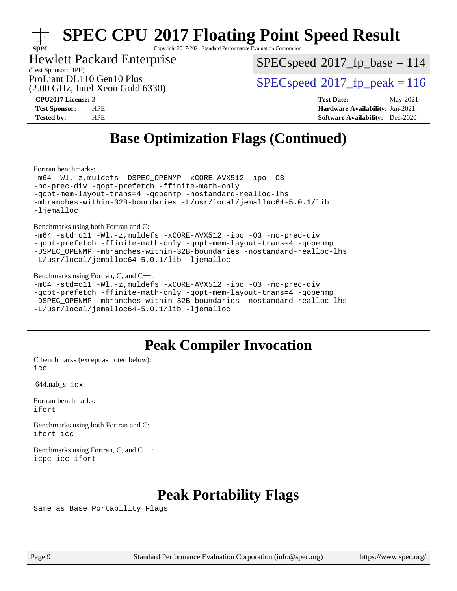Copyright 2017-2021 Standard Performance Evaluation Corporation

### (Test Sponsor: HPE) Hewlett Packard Enterprise

[SPECspeed](http://www.spec.org/auto/cpu2017/Docs/result-fields.html#SPECspeed2017fpbase)<sup>®</sup>2017 fp base = 114

(2.00 GHz, Intel Xeon Gold 6330)

ProLiant DL110 Gen10 Plus  $SPEC speed@2017$  fp\_peak = 116

**[spec](http://www.spec.org/)**

**[CPU2017 License:](http://www.spec.org/auto/cpu2017/Docs/result-fields.html#CPU2017License)** 3 **[Test Date:](http://www.spec.org/auto/cpu2017/Docs/result-fields.html#TestDate)** May-2021 **[Test Sponsor:](http://www.spec.org/auto/cpu2017/Docs/result-fields.html#TestSponsor)** HPE **[Hardware Availability:](http://www.spec.org/auto/cpu2017/Docs/result-fields.html#HardwareAvailability)** Jun-2021 **[Tested by:](http://www.spec.org/auto/cpu2017/Docs/result-fields.html#Testedby)** HPE **[Software Availability:](http://www.spec.org/auto/cpu2017/Docs/result-fields.html#SoftwareAvailability)** Dec-2020

## **[Base Optimization Flags \(Continued\)](http://www.spec.org/auto/cpu2017/Docs/result-fields.html#BaseOptimizationFlags)**

[Fortran benchmarks](http://www.spec.org/auto/cpu2017/Docs/result-fields.html#Fortranbenchmarks):

```
-m64 -Wl,-z,muldefs -DSPEC_OPENMP -xCORE-AVX512 -ipo -O3
-no-prec-div -qopt-prefetch -ffinite-math-only
-qopt-mem-layout-trans=4 -qopenmp -nostandard-realloc-lhs
-mbranches-within-32B-boundaries -L/usr/local/jemalloc64-5.0.1/lib
-ljemalloc
```
### [Benchmarks using both Fortran and C](http://www.spec.org/auto/cpu2017/Docs/result-fields.html#BenchmarksusingbothFortranandC):

| -m64 -std=c11 -Wl,-z,muldefs -xCORE-AVX512 -ipo -03 -no-prec-div       |
|------------------------------------------------------------------------|
| -gopt-prefetch -ffinite-math-only -gopt-mem-layout-trans=4 -gopenmp    |
| -DSPEC OPENMP -mbranches-within-32B-boundaries -nostandard-realloc-lhs |
| -L/usr/local/jemalloc64-5.0.1/lib -ljemalloc                           |

### [Benchmarks using Fortran, C, and C++:](http://www.spec.org/auto/cpu2017/Docs/result-fields.html#BenchmarksusingFortranCandCXX)

```
-m64 -std=c11 -Wl,-z,muldefs -xCORE-AVX512 -ipo -O3 -no-prec-div
-qopt-prefetch -ffinite-math-only -qopt-mem-layout-trans=4 -qopenmp
-DSPEC_OPENMP -mbranches-within-32B-boundaries -nostandard-realloc-lhs
-L/usr/local/jemalloc64-5.0.1/lib -ljemalloc
```
## **[Peak Compiler Invocation](http://www.spec.org/auto/cpu2017/Docs/result-fields.html#PeakCompilerInvocation)**

[C benchmarks \(except as noted below\)](http://www.spec.org/auto/cpu2017/Docs/result-fields.html#Cbenchmarksexceptasnotedbelow): [icc](http://www.spec.org/cpu2017/results/res2021q2/cpu2017-20210525-26749.flags.html#user_CCpeak_intel_icc_66fc1ee009f7361af1fbd72ca7dcefbb700085f36577c54f309893dd4ec40d12360134090235512931783d35fd58c0460139e722d5067c5574d8eaf2b3e37e92)

644.nab\_s: [icx](http://www.spec.org/cpu2017/results/res2021q2/cpu2017-20210525-26749.flags.html#user_peakCCLD644_nab_s_intel_icx_fe2d28d19ae2a5db7c42fe0f2a2aed77cb715edd4aeb23434404a8be6683fe239869bb6ca8154ca98265c2e3b9226a719a0efe2953a4a7018c379b7010ccf087)

[Fortran benchmarks](http://www.spec.org/auto/cpu2017/Docs/result-fields.html#Fortranbenchmarks): [ifort](http://www.spec.org/cpu2017/results/res2021q2/cpu2017-20210525-26749.flags.html#user_FCpeak_intel_ifort_8111460550e3ca792625aed983ce982f94888b8b503583aa7ba2b8303487b4d8a21a13e7191a45c5fd58ff318f48f9492884d4413fa793fd88dd292cad7027ca)

[Benchmarks using both Fortran and C](http://www.spec.org/auto/cpu2017/Docs/result-fields.html#BenchmarksusingbothFortranandC): [ifort](http://www.spec.org/cpu2017/results/res2021q2/cpu2017-20210525-26749.flags.html#user_CC_FCpeak_intel_ifort_8111460550e3ca792625aed983ce982f94888b8b503583aa7ba2b8303487b4d8a21a13e7191a45c5fd58ff318f48f9492884d4413fa793fd88dd292cad7027ca) [icc](http://www.spec.org/cpu2017/results/res2021q2/cpu2017-20210525-26749.flags.html#user_CC_FCpeak_intel_icc_66fc1ee009f7361af1fbd72ca7dcefbb700085f36577c54f309893dd4ec40d12360134090235512931783d35fd58c0460139e722d5067c5574d8eaf2b3e37e92)

[Benchmarks using Fortran, C, and C++:](http://www.spec.org/auto/cpu2017/Docs/result-fields.html#BenchmarksusingFortranCandCXX) [icpc](http://www.spec.org/cpu2017/results/res2021q2/cpu2017-20210525-26749.flags.html#user_CC_CXX_FCpeak_intel_icpc_c510b6838c7f56d33e37e94d029a35b4a7bccf4766a728ee175e80a419847e808290a9b78be685c44ab727ea267ec2f070ec5dc83b407c0218cded6866a35d07) [icc](http://www.spec.org/cpu2017/results/res2021q2/cpu2017-20210525-26749.flags.html#user_CC_CXX_FCpeak_intel_icc_66fc1ee009f7361af1fbd72ca7dcefbb700085f36577c54f309893dd4ec40d12360134090235512931783d35fd58c0460139e722d5067c5574d8eaf2b3e37e92) [ifort](http://www.spec.org/cpu2017/results/res2021q2/cpu2017-20210525-26749.flags.html#user_CC_CXX_FCpeak_intel_ifort_8111460550e3ca792625aed983ce982f94888b8b503583aa7ba2b8303487b4d8a21a13e7191a45c5fd58ff318f48f9492884d4413fa793fd88dd292cad7027ca)

## **[Peak Portability Flags](http://www.spec.org/auto/cpu2017/Docs/result-fields.html#PeakPortabilityFlags)**

Same as Base Portability Flags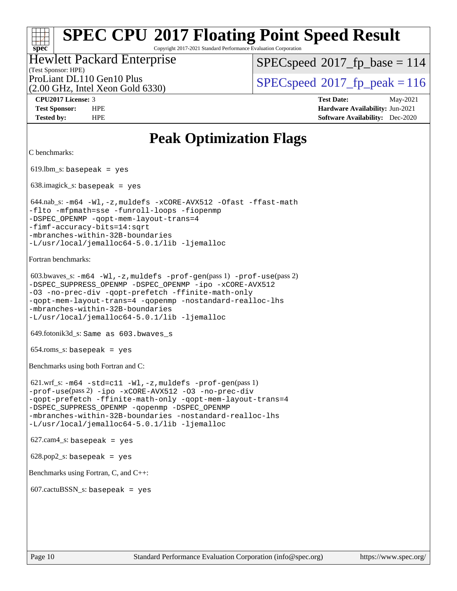Copyright 2017-2021 Standard Performance Evaluation Corporation

### (Test Sponsor: HPE) Hewlett Packard Enterprise

[SPECspeed](http://www.spec.org/auto/cpu2017/Docs/result-fields.html#SPECspeed2017fpbase)<sup>®</sup>2017 fp base = 114

(2.00 GHz, Intel Xeon Gold 6330)

ProLiant DL110 Gen10 Plus  $SPEC speed@2017$  fp\_peak = 116

**[CPU2017 License:](http://www.spec.org/auto/cpu2017/Docs/result-fields.html#CPU2017License)** 3 **[Test Date:](http://www.spec.org/auto/cpu2017/Docs/result-fields.html#TestDate)** May-2021 **[Test Sponsor:](http://www.spec.org/auto/cpu2017/Docs/result-fields.html#TestSponsor)** HPE **[Hardware Availability:](http://www.spec.org/auto/cpu2017/Docs/result-fields.html#HardwareAvailability)** Jun-2021 **[Tested by:](http://www.spec.org/auto/cpu2017/Docs/result-fields.html#Testedby)** HPE **[Software Availability:](http://www.spec.org/auto/cpu2017/Docs/result-fields.html#SoftwareAvailability)** Dec-2020

## **[Peak Optimization Flags](http://www.spec.org/auto/cpu2017/Docs/result-fields.html#PeakOptimizationFlags)**

```
C benchmarks:
```
**[spec](http://www.spec.org/)**

619.lbm\_s: basepeak = yes

638.imagick\_s: basepeak = yes

```
 644.nab_s: -m64 -Wl,-z,muldefs -xCORE-AVX512 -Ofast -ffast-math
-flto -mfpmath=sse -funroll-loops -fiopenmp
-qopt-mem-layout-trans=4
-fimf-accuracy-bits=14:sqrt
-mbranches-within-32B-boundaries
-L/usr/local/jemalloc64-5.0.1/lib -ljemalloc
```
[Fortran benchmarks:](http://www.spec.org/auto/cpu2017/Docs/result-fields.html#Fortranbenchmarks)

```
 603.bwaves_s: -m64 -Wl,-z,muldefs -prof-gen(pass 1) -prof-use(pass 2)
-DSPEC_SUPPRESS_OPENMP -DSPEC_OPENMP -ipo -xCORE-AVX512
-O3 -no-prec-div -qopt-prefetch -ffinite-math-only
-qopt-mem-layout-trans=4 -qopenmp -nostandard-realloc-lhs
-mbranches-within-32B-boundaries
-L/usr/local/jemalloc64-5.0.1/lib -ljemalloc
```
649.fotonik3d\_s: Same as 603.bwaves\_s

654.roms\_s: basepeak = yes

[Benchmarks using both Fortran and C](http://www.spec.org/auto/cpu2017/Docs/result-fields.html#BenchmarksusingbothFortranandC):

```
 621.wrf_s: -m64 -std=c11 -Wl,-z,muldefs -prof-gen(pass 1)
-prof-use(pass 2) -ipo -xCORE-AVX512 -O3 -no-prec-div
-qopt-prefetch -ffinite-math-only -qopt-mem-layout-trans=4
-DSPEC_SUPPRESS_OPENMP -qopenmp -DSPEC_OPENMP
-mbranches-within-32B-boundaries -nostandard-realloc-lhs
-L/usr/local/jemalloc64-5.0.1/lib -ljemalloc
```

```
627.cam4<sub>-</sub>s: basepeak = yes
```
 $628.pop2_s:$  basepeak = yes

[Benchmarks using Fortran, C, and C++](http://www.spec.org/auto/cpu2017/Docs/result-fields.html#BenchmarksusingFortranCandCXX):

 $607.cactuBSSN_s$ : basepeak = yes